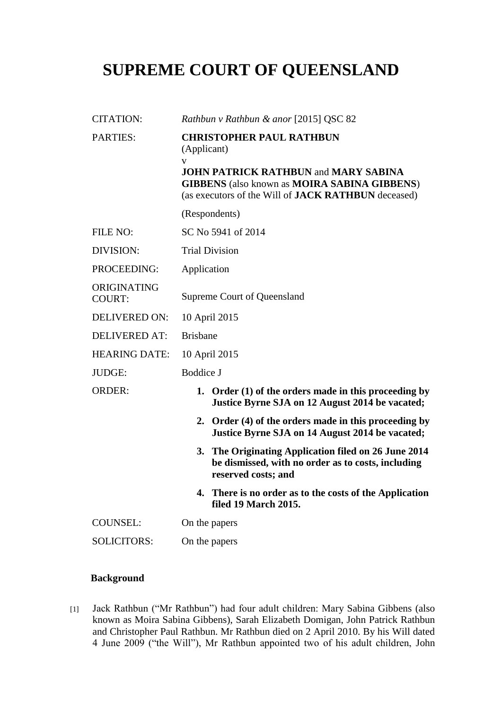## **SUPREME COURT OF QUEENSLAND**

| <b>CITATION:</b>             | Rathbun v Rathbun & anor [2015] QSC 82                                                                                                                                                                                          |
|------------------------------|---------------------------------------------------------------------------------------------------------------------------------------------------------------------------------------------------------------------------------|
| <b>PARTIES:</b>              | <b>CHRISTOPHER PAUL RATHBUN</b><br>(Applicant)<br>V<br><b>JOHN PATRICK RATHBUN and MARY SABINA</b><br><b>GIBBENS</b> (also known as <b>MOIRA SABINA GIBBENS</b> )<br>(as executors of the Will of <b>JACK RATHBUN</b> deceased) |
|                              | (Respondents)                                                                                                                                                                                                                   |
| FILE NO:                     | SC No 5941 of 2014                                                                                                                                                                                                              |
| DIVISION:                    | <b>Trial Division</b>                                                                                                                                                                                                           |
| PROCEEDING:                  | Application                                                                                                                                                                                                                     |
| ORIGINATING<br><b>COURT:</b> | Supreme Court of Queensland                                                                                                                                                                                                     |
| <b>DELIVERED ON:</b>         | 10 April 2015                                                                                                                                                                                                                   |
| <b>DELIVERED AT:</b>         | <b>Brisbane</b>                                                                                                                                                                                                                 |
| <b>HEARING DATE:</b>         | 10 April 2015                                                                                                                                                                                                                   |
| <b>JUDGE:</b>                | <b>Boddice J</b>                                                                                                                                                                                                                |
| <b>ORDER:</b>                | 1. Order $(1)$ of the orders made in this proceeding by<br>Justice Byrne SJA on 12 August 2014 be vacated;                                                                                                                      |
|                              | 2. Order (4) of the orders made in this proceeding by<br>Justice Byrne SJA on 14 August 2014 be vacated;                                                                                                                        |
|                              | The Originating Application filed on 26 June 2014<br>3.<br>be dismissed, with no order as to costs, including<br>reserved costs; and                                                                                            |
|                              | 4.<br>There is no order as to the costs of the Application<br>filed 19 March 2015.                                                                                                                                              |
| <b>COUNSEL:</b>              | On the papers                                                                                                                                                                                                                   |
| <b>SOLICITORS:</b>           | On the papers                                                                                                                                                                                                                   |

## **Background**

[1] Jack Rathbun ("Mr Rathbun") had four adult children: Mary Sabina Gibbens (also known as Moira Sabina Gibbens), Sarah Elizabeth Domigan, John Patrick Rathbun and Christopher Paul Rathbun. Mr Rathbun died on 2 April 2010. By his Will dated 4 June 2009 ("the Will"), Mr Rathbun appointed two of his adult children, John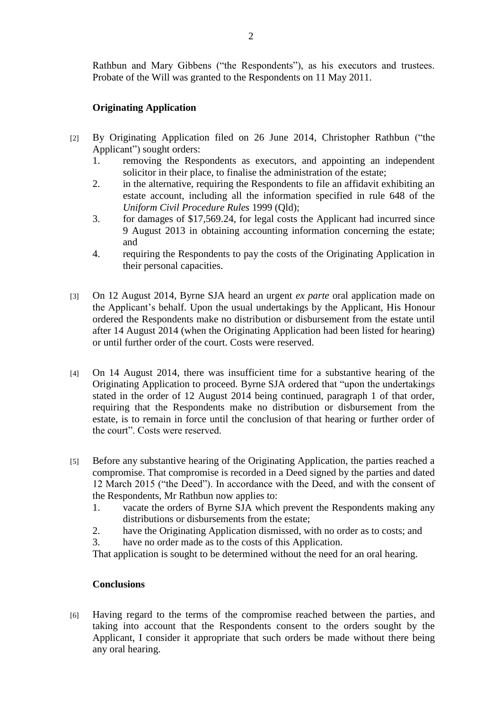Rathbun and Mary Gibbens ("the Respondents"), as his executors and trustees. Probate of the Will was granted to the Respondents on 11 May 2011.

## **Originating Application**

- [2] By Originating Application filed on 26 June 2014, Christopher Rathbun ("the Applicant") sought orders:
	- 1. removing the Respondents as executors, and appointing an independent solicitor in their place, to finalise the administration of the estate;
	- 2. in the alternative, requiring the Respondents to file an affidavit exhibiting an estate account, including all the information specified in rule 648 of the *Uniform Civil Procedure Rules* 1999 (Qld);
	- 3. for damages of \$17,569.24, for legal costs the Applicant had incurred since 9 August 2013 in obtaining accounting information concerning the estate; and
	- 4. requiring the Respondents to pay the costs of the Originating Application in their personal capacities.
- [3] On 12 August 2014, Byrne SJA heard an urgent *ex parte* oral application made on the Applicant's behalf. Upon the usual undertakings by the Applicant, His Honour ordered the Respondents make no distribution or disbursement from the estate until after 14 August 2014 (when the Originating Application had been listed for hearing) or until further order of the court. Costs were reserved.
- [4] On 14 August 2014, there was insufficient time for a substantive hearing of the Originating Application to proceed. Byrne SJA ordered that "upon the undertakings stated in the order of 12 August 2014 being continued, paragraph 1 of that order, requiring that the Respondents make no distribution or disbursement from the estate, is to remain in force until the conclusion of that hearing or further order of the court". Costs were reserved.
- [5] Before any substantive hearing of the Originating Application, the parties reached a compromise. That compromise is recorded in a Deed signed by the parties and dated 12 March 2015 ("the Deed"). In accordance with the Deed, and with the consent of the Respondents, Mr Rathbun now applies to:
	- 1. vacate the orders of Byrne SJA which prevent the Respondents making any distributions or disbursements from the estate;
	- 2. have the Originating Application dismissed, with no order as to costs; and
	- 3. have no order made as to the costs of this Application.

That application is sought to be determined without the need for an oral hearing.

## **Conclusions**

[6] Having regard to the terms of the compromise reached between the parties, and taking into account that the Respondents consent to the orders sought by the Applicant, I consider it appropriate that such orders be made without there being any oral hearing.